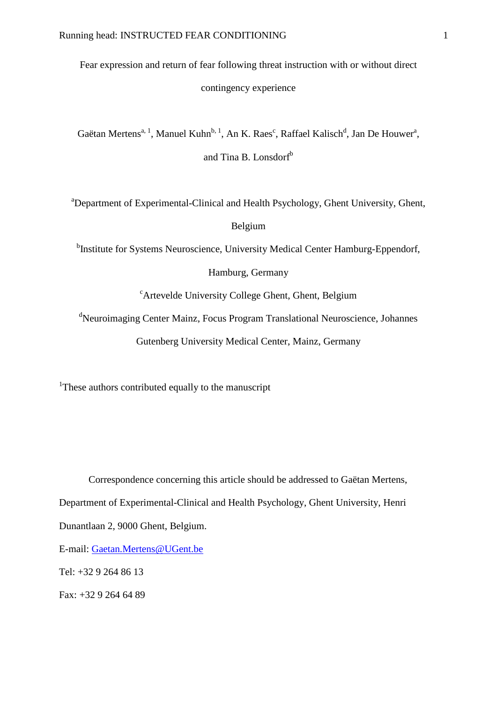Fear expression and return of fear following threat instruction with or without direct contingency experience

Gaëtan Mertens<sup>a, 1</sup>, Manuel Kuhn<sup>b, 1</sup>, An K. Raes<sup>c</sup>, Raffael Kalisch<sup>d</sup>, Jan De Houwer<sup>a</sup>, and Tina B. Lonsdorf<sup>b</sup>

<sup>a</sup>Department of Experimental-Clinical and Health Psychology, Ghent University, Ghent, Belgium

<sup>b</sup>Institute for Systems Neuroscience, University Medical Center Hamburg-Eppendorf,

Hamburg, Germany

<sup>c</sup>Artevelde University College Ghent, Ghent, Belgium

<sup>d</sup>Neuroimaging Center Mainz, Focus Program Translational Neuroscience, Johannes Gutenberg University Medical Center, Mainz, Germany

<sup>1</sup>These authors contributed equally to the manuscript

Correspondence concerning this article should be addressed to Gaëtan Mertens, Department of Experimental-Clinical and Health Psychology, Ghent University, Henri Dunantlaan 2, 9000 Ghent, Belgium.

E-mail: [Gaetan.Mertens@UGent.be](mailto:Gaetan.Mertens@UGent.be)

Tel: +32 9 264 86 13

Fax: +32 9 264 64 89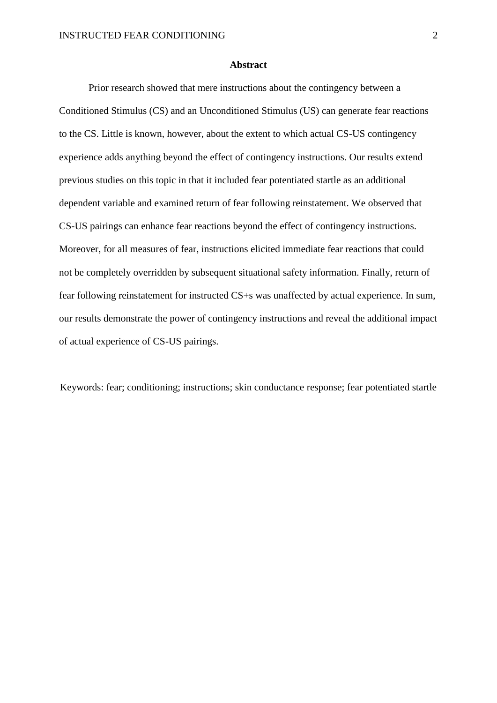#### **Abstract**

Prior research showed that mere instructions about the contingency between a Conditioned Stimulus (CS) and an Unconditioned Stimulus (US) can generate fear reactions to the CS. Little is known, however, about the extent to which actual CS-US contingency experience adds anything beyond the effect of contingency instructions. Our results extend previous studies on this topic in that it included fear potentiated startle as an additional dependent variable and examined return of fear following reinstatement. We observed that CS-US pairings can enhance fear reactions beyond the effect of contingency instructions. Moreover, for all measures of fear, instructions elicited immediate fear reactions that could not be completely overridden by subsequent situational safety information. Finally, return of fear following reinstatement for instructed CS+s was unaffected by actual experience. In sum, our results demonstrate the power of contingency instructions and reveal the additional impact of actual experience of CS-US pairings.

Keywords: fear; conditioning; instructions; skin conductance response; fear potentiated startle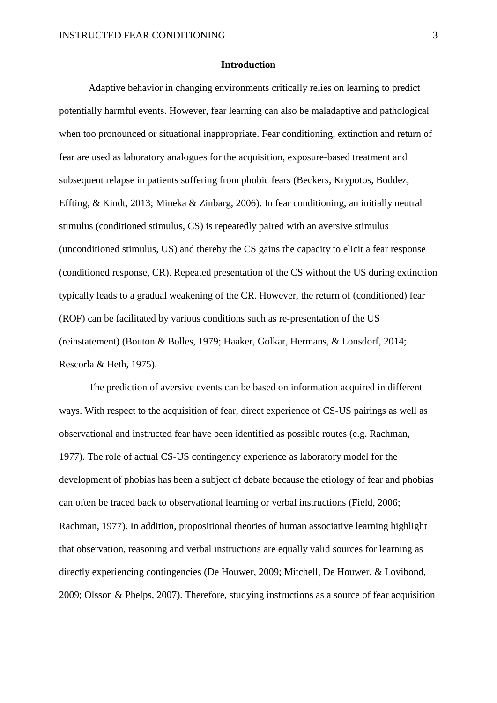## **Introduction**

Adaptive behavior in changing environments critically relies on learning to predict potentially harmful events. However, fear learning can also be maladaptive and pathological when too pronounced or situational inappropriate. Fear conditioning, extinction and return of fear are used as laboratory analogues for the acquisition, exposure-based treatment and subsequent relapse in patients suffering from phobic fears (Beckers, Krypotos, Boddez, Effting, & Kindt, 2013; Mineka & Zinbarg, 2006). In fear conditioning, an initially neutral stimulus (conditioned stimulus, CS) is repeatedly paired with an aversive stimulus (unconditioned stimulus, US) and thereby the CS gains the capacity to elicit a fear response (conditioned response, CR). Repeated presentation of the CS without the US during extinction typically leads to a gradual weakening of the CR. However, the return of (conditioned) fear (ROF) can be facilitated by various conditions such as re-presentation of the US (reinstatement) (Bouton & Bolles, 1979; Haaker, Golkar, Hermans, & Lonsdorf, 2014; Rescorla & Heth, 1975).

The prediction of aversive events can be based on information acquired in different ways. With respect to the acquisition of fear, direct experience of CS-US pairings as well as observational and instructed fear have been identified as possible routes (e.g. Rachman, 1977). The role of actual CS-US contingency experience as laboratory model for the development of phobias has been a subject of debate because the etiology of fear and phobias can often be traced back to observational learning or verbal instructions (Field, 2006; Rachman, 1977). In addition, propositional theories of human associative learning highlight that observation, reasoning and verbal instructions are equally valid sources for learning as directly experiencing contingencies (De Houwer, 2009; Mitchell, De Houwer, & Lovibond, 2009; Olsson & Phelps, 2007). Therefore, studying instructions as a source of fear acquisition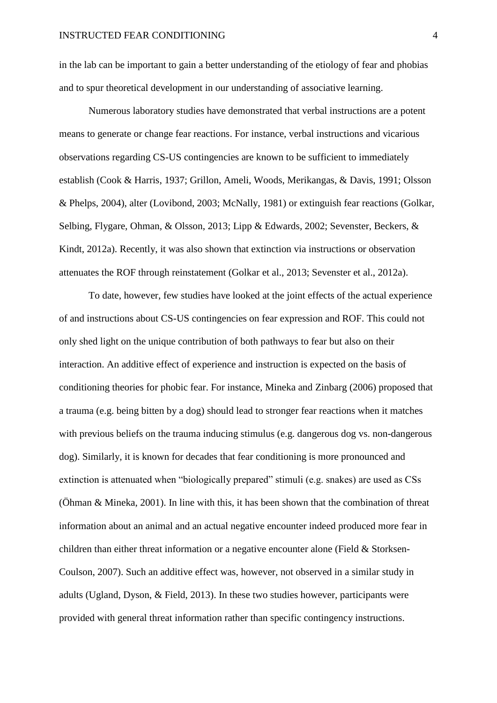in the lab can be important to gain a better understanding of the etiology of fear and phobias and to spur theoretical development in our understanding of associative learning.

Numerous laboratory studies have demonstrated that verbal instructions are a potent means to generate or change fear reactions. For instance, verbal instructions and vicarious observations regarding CS-US contingencies are known to be sufficient to immediately establish (Cook & Harris, 1937; Grillon, Ameli, Woods, Merikangas, & Davis, 1991; Olsson & Phelps, 2004), alter (Lovibond, 2003; McNally, 1981) or extinguish fear reactions (Golkar, Selbing, Flygare, Ohman, & Olsson, 2013; Lipp & Edwards, 2002; Sevenster, Beckers, & Kindt, 2012a). Recently, it was also shown that extinction via instructions or observation attenuates the ROF through reinstatement (Golkar et al., 2013; Sevenster et al., 2012a).

To date, however, few studies have looked at the joint effects of the actual experience of and instructions about CS-US contingencies on fear expression and ROF. This could not only shed light on the unique contribution of both pathways to fear but also on their interaction. An additive effect of experience and instruction is expected on the basis of conditioning theories for phobic fear. For instance, Mineka and Zinbarg (2006) proposed that a trauma (e.g. being bitten by a dog) should lead to stronger fear reactions when it matches with previous beliefs on the trauma inducing stimulus (e.g. dangerous dog vs. non-dangerous dog). Similarly, it is known for decades that fear conditioning is more pronounced and extinction is attenuated when "biologically prepared" stimuli (e.g. snakes) are used as CSs (Öhman & Mineka, 2001). In line with this, it has been shown that the combination of threat information about an animal and an actual negative encounter indeed produced more fear in children than either threat information or a negative encounter alone (Field  $&$  Storksen-Coulson, 2007). Such an additive effect was, however, not observed in a similar study in adults (Ugland, Dyson, & Field, 2013). In these two studies however, participants were provided with general threat information rather than specific contingency instructions.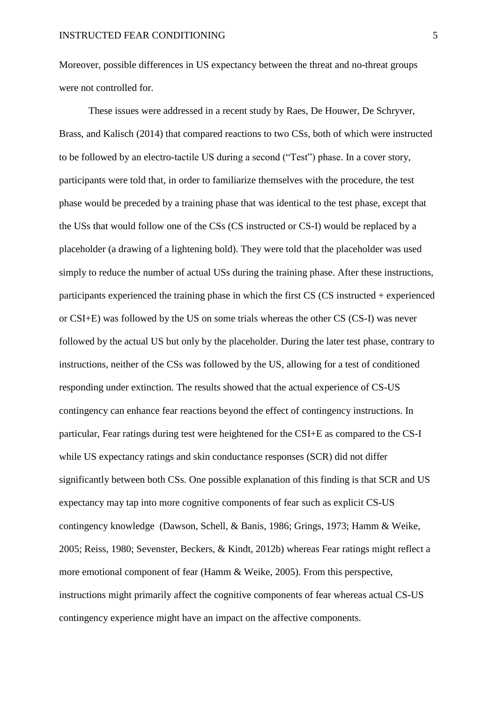Moreover, possible differences in US expectancy between the threat and no-threat groups were not controlled for.

These issues were addressed in a recent study by Raes, De Houwer, De Schryver, Brass, and Kalisch (2014) that compared reactions to two CSs, both of which were instructed to be followed by an electro-tactile US during a second ("Test") phase. In a cover story, participants were told that, in order to familiarize themselves with the procedure, the test phase would be preceded by a training phase that was identical to the test phase, except that the USs that would follow one of the CSs (CS instructed or CS-I) would be replaced by a placeholder (a drawing of a lightening bold). They were told that the placeholder was used simply to reduce the number of actual USs during the training phase. After these instructions, participants experienced the training phase in which the first CS (CS instructed + experienced or CSI+E) was followed by the US on some trials whereas the other CS (CS-I) was never followed by the actual US but only by the placeholder. During the later test phase, contrary to instructions, neither of the CSs was followed by the US, allowing for a test of conditioned responding under extinction. The results showed that the actual experience of CS-US contingency can enhance fear reactions beyond the effect of contingency instructions. In particular, Fear ratings during test were heightened for the CSI+E as compared to the CS-I while US expectancy ratings and skin conductance responses (SCR) did not differ significantly between both CSs. One possible explanation of this finding is that SCR and US expectancy may tap into more cognitive components of fear such as explicit CS-US contingency knowledge (Dawson, Schell, & Banis, 1986; Grings, 1973; Hamm & Weike, 2005; Reiss, 1980; Sevenster, Beckers, & Kindt, 2012b) whereas Fear ratings might reflect a more emotional component of fear (Hamm & Weike, 2005). From this perspective, instructions might primarily affect the cognitive components of fear whereas actual CS-US contingency experience might have an impact on the affective components.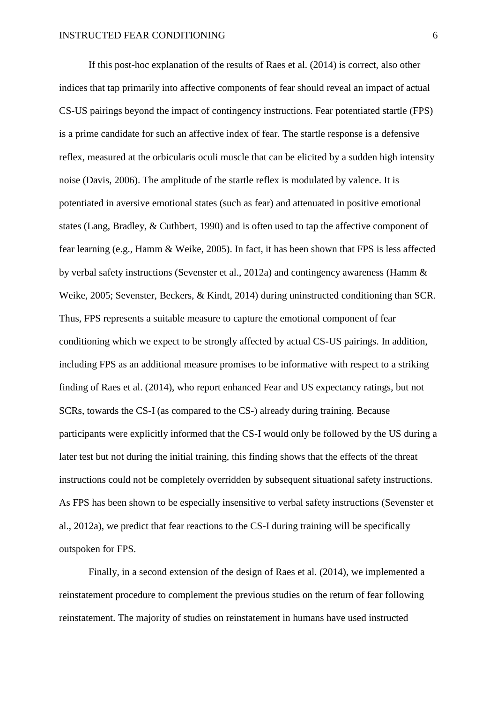If this post-hoc explanation of the results of Raes et al. (2014) is correct, also other indices that tap primarily into affective components of fear should reveal an impact of actual CS-US pairings beyond the impact of contingency instructions. Fear potentiated startle (FPS) is a prime candidate for such an affective index of fear. The startle response is a defensive reflex, measured at the orbicularis oculi muscle that can be elicited by a sudden high intensity noise (Davis, 2006). The amplitude of the startle reflex is modulated by valence. It is potentiated in aversive emotional states (such as fear) and attenuated in positive emotional states (Lang, Bradley, & Cuthbert, 1990) and is often used to tap the affective component of fear learning (e.g., Hamm & Weike, 2005). In fact, it has been shown that FPS is less affected by verbal safety instructions (Sevenster et al., 2012a) and contingency awareness (Hamm & Weike, 2005; Sevenster, Beckers, & Kindt, 2014) during uninstructed conditioning than SCR. Thus, FPS represents a suitable measure to capture the emotional component of fear conditioning which we expect to be strongly affected by actual CS-US pairings. In addition, including FPS as an additional measure promises to be informative with respect to a striking finding of Raes et al. (2014), who report enhanced Fear and US expectancy ratings, but not SCRs, towards the CS-I (as compared to the CS-) already during training. Because participants were explicitly informed that the CS-I would only be followed by the US during a later test but not during the initial training, this finding shows that the effects of the threat instructions could not be completely overridden by subsequent situational safety instructions. As FPS has been shown to be especially insensitive to verbal safety instructions (Sevenster et al., 2012a), we predict that fear reactions to the CS-I during training will be specifically outspoken for FPS.

Finally, in a second extension of the design of Raes et al. (2014), we implemented a reinstatement procedure to complement the previous studies on the return of fear following reinstatement. The majority of studies on reinstatement in humans have used instructed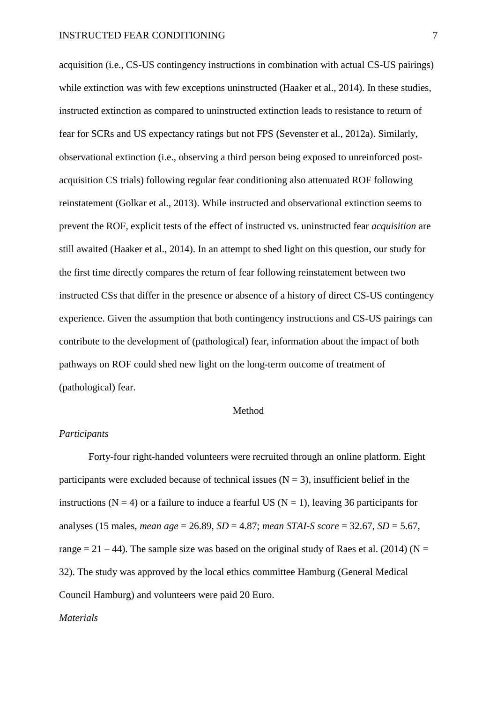acquisition (i.e., CS-US contingency instructions in combination with actual CS-US pairings) while extinction was with few exceptions uninstructed (Haaker et al., 2014). In these studies, instructed extinction as compared to uninstructed extinction leads to resistance to return of fear for SCRs and US expectancy ratings but not FPS (Sevenster et al., 2012a). Similarly, observational extinction (i.e., observing a third person being exposed to unreinforced postacquisition CS trials) following regular fear conditioning also attenuated ROF following reinstatement (Golkar et al., 2013). While instructed and observational extinction seems to prevent the ROF, explicit tests of the effect of instructed vs. uninstructed fear *acquisition* are still awaited (Haaker et al., 2014). In an attempt to shed light on this question, our study for the first time directly compares the return of fear following reinstatement between two instructed CSs that differ in the presence or absence of a history of direct CS-US contingency experience. Given the assumption that both contingency instructions and CS-US pairings can contribute to the development of (pathological) fear, information about the impact of both pathways on ROF could shed new light on the long-term outcome of treatment of (pathological) fear.

#### Method

## *Participants*

Forty-four right-handed volunteers were recruited through an online platform. Eight participants were excluded because of technical issues ( $N = 3$ ), insufficient belief in the instructions (N = 4) or a failure to induce a fearful US (N = 1), leaving 36 participants for analyses (15 males, *mean age* = 26.89, *SD* = 4.87; *mean STAI-S score* = 32.67, *SD* = 5.67, range  $= 21 - 44$ ). The sample size was based on the original study of Raes et al. (2014) (N = 32). The study was approved by the local ethics committee Hamburg (General Medical Council Hamburg) and volunteers were paid 20 Euro.

## *Materials*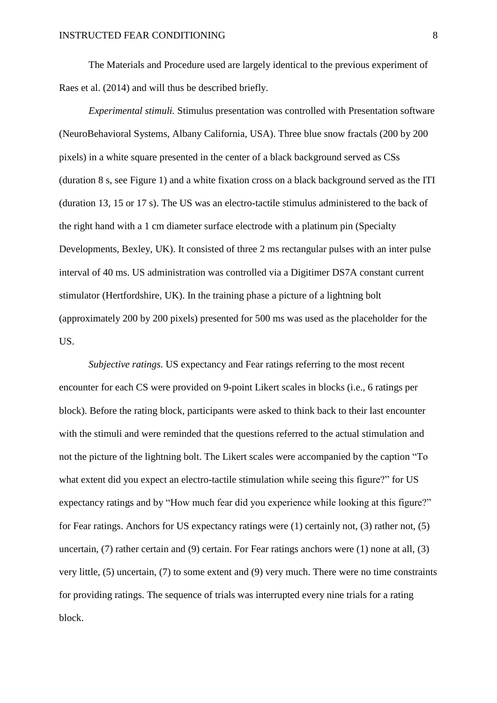The Materials and Procedure used are largely identical to the previous experiment of Raes et al. (2014) and will thus be described briefly.

*Experimental stimuli.* Stimulus presentation was controlled with Presentation software (NeuroBehavioral Systems, Albany California, USA). Three blue snow fractals (200 by 200 pixels) in a white square presented in the center of a black background served as CSs (duration 8 s, see Figure 1) and a white fixation cross on a black background served as the ITI (duration 13, 15 or 17 s). The US was an electro-tactile stimulus administered to the back of the right hand with a 1 cm diameter surface electrode with a platinum pin (Specialty Developments, Bexley, UK). It consisted of three 2 ms rectangular pulses with an inter pulse interval of 40 ms. US administration was controlled via a Digitimer DS7A constant current stimulator (Hertfordshire, UK). In the training phase a picture of a lightning bolt (approximately 200 by 200 pixels) presented for 500 ms was used as the placeholder for the US.

*Subjective ratings.* US expectancy and Fear ratings referring to the most recent encounter for each CS were provided on 9-point Likert scales in blocks (i.e., 6 ratings per block). Before the rating block, participants were asked to think back to their last encounter with the stimuli and were reminded that the questions referred to the actual stimulation and not the picture of the lightning bolt. The Likert scales were accompanied by the caption "To what extent did you expect an electro-tactile stimulation while seeing this figure?" for US expectancy ratings and by "How much fear did you experience while looking at this figure?" for Fear ratings. Anchors for US expectancy ratings were (1) certainly not, (3) rather not, (5) uncertain, (7) rather certain and (9) certain. For Fear ratings anchors were (1) none at all, (3) very little, (5) uncertain, (7) to some extent and (9) very much. There were no time constraints for providing ratings. The sequence of trials was interrupted every nine trials for a rating block.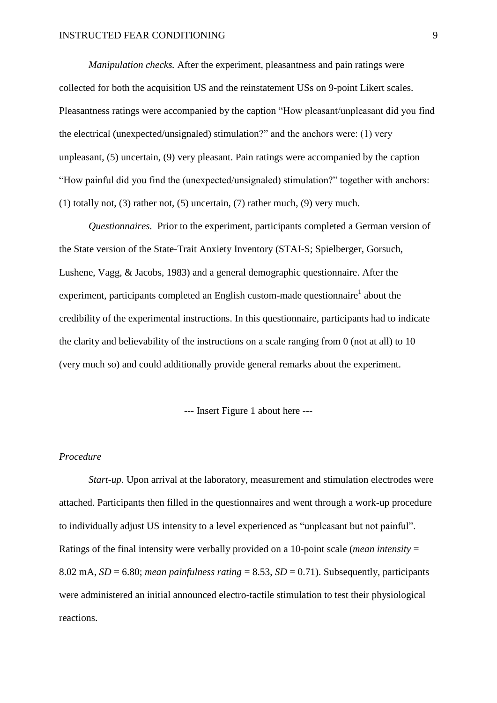*Manipulation checks.* After the experiment, pleasantness and pain ratings were collected for both the acquisition US and the reinstatement USs on 9-point Likert scales. Pleasantness ratings were accompanied by the caption "How pleasant/unpleasant did you find the electrical (unexpected/unsignaled) stimulation?" and the anchors were: (1) very unpleasant, (5) uncertain, (9) very pleasant. Pain ratings were accompanied by the caption "How painful did you find the (unexpected/unsignaled) stimulation?" together with anchors: (1) totally not, (3) rather not, (5) uncertain, (7) rather much, (9) very much.

*Questionnaires.* Prior to the experiment, participants completed a German version of the State version of the State-Trait Anxiety Inventory (STAI-S; Spielberger, Gorsuch, Lushene, Vagg, & Jacobs, 1983) and a general demographic questionnaire. After the experiment, participants completed an English custom-made questionnaire<sup>1</sup> about the credibility of the experimental instructions. In this questionnaire, participants had to indicate the clarity and believability of the instructions on a scale ranging from 0 (not at all) to 10 (very much so) and could additionally provide general remarks about the experiment.

--- Insert Figure 1 about here ---

## *Procedure*

*Start-up.* Upon arrival at the laboratory, measurement and stimulation electrodes were attached. Participants then filled in the questionnaires and went through a work-up procedure to individually adjust US intensity to a level experienced as "unpleasant but not painful". Ratings of the final intensity were verbally provided on a 10-point scale (*mean intensity* = 8.02 mA,  $SD = 6.80$ ; *mean painfulness rating* = 8.53,  $SD = 0.71$ ). Subsequently, participants were administered an initial announced electro-tactile stimulation to test their physiological reactions.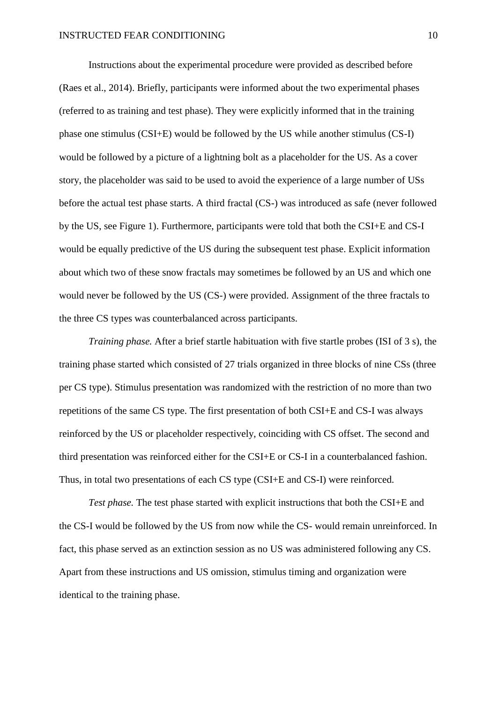Instructions about the experimental procedure were provided as described before (Raes et al., 2014). Briefly, participants were informed about the two experimental phases (referred to as training and test phase). They were explicitly informed that in the training phase one stimulus (CSI+E) would be followed by the US while another stimulus (CS-I) would be followed by a picture of a lightning bolt as a placeholder for the US. As a cover story, the placeholder was said to be used to avoid the experience of a large number of USs before the actual test phase starts. A third fractal (CS-) was introduced as safe (never followed by the US, see Figure 1). Furthermore, participants were told that both the CSI+E and CS-I would be equally predictive of the US during the subsequent test phase. Explicit information about which two of these snow fractals may sometimes be followed by an US and which one would never be followed by the US (CS-) were provided. Assignment of the three fractals to the three CS types was counterbalanced across participants.

*Training phase.* After a brief startle habituation with five startle probes (ISI of 3 s), the training phase started which consisted of 27 trials organized in three blocks of nine CSs (three per CS type). Stimulus presentation was randomized with the restriction of no more than two repetitions of the same CS type. The first presentation of both CSI+E and CS-I was always reinforced by the US or placeholder respectively, coinciding with CS offset. The second and third presentation was reinforced either for the CSI+E or CS-I in a counterbalanced fashion. Thus, in total two presentations of each CS type (CSI+E and CS-I) were reinforced.

*Test phase.* The test phase started with explicit instructions that both the CSI+E and the CS-I would be followed by the US from now while the CS- would remain unreinforced. In fact, this phase served as an extinction session as no US was administered following any CS. Apart from these instructions and US omission, stimulus timing and organization were identical to the training phase.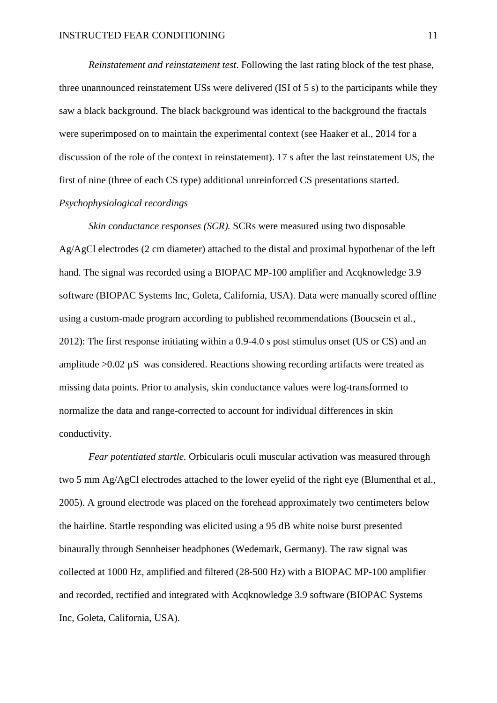*Reinstatement and reinstatement test*. Following the last rating block of the test phase, three unannounced reinstatement USs were delivered (ISI of 5 s) to the participants while they saw a black background. The black background was identical to the background the fractals were superimposed on to maintain the experimental context (see Haaker et al., 2014 for a discussion of the role of the context in reinstatement). 17 s after the last reinstatement US, the first of nine (three of each CS type) additional unreinforced CS presentations started. *Psychophysiological recordings*

*Skin conductance responses (SCR).* SCRs were measured using two disposable Ag/AgCl electrodes (2 cm diameter) attached to the distal and proximal hypothenar of the left hand. The signal was recorded using a BIOPAC MP-100 amplifier and Acqknowledge 3.9 software (BIOPAC Systems Inc, Goleta, California, USA). Data were manually scored offline using a custom-made program according to published recommendations (Boucsein et al., 2012): The first response initiating within a 0.9-4.0 s post stimulus onset (US or CS) and an amplitude  $>0.02 \mu S$  was considered. Reactions showing recording artifacts were treated as missing data points. Prior to analysis, skin conductance values were log-transformed to normalize the data and range-corrected to account for individual differences in skin conductivity.

*Fear potentiated startle.* Orbicularis oculi muscular activation was measured through two 5 mm Ag/AgCl electrodes attached to the lower eyelid of the right eye (Blumenthal et al., 2005). A ground electrode was placed on the forehead approximately two centimeters below the hairline. Startle responding was elicited using a 95 dB white noise burst presented binaurally through Sennheiser headphones (Wedemark, Germany). The raw signal was collected at 1000 Hz, amplified and filtered (28-500 Hz) with a BIOPAC MP-100 amplifier and recorded, rectified and integrated with Acqknowledge 3.9 software (BIOPAC Systems Inc, Goleta, California, USA).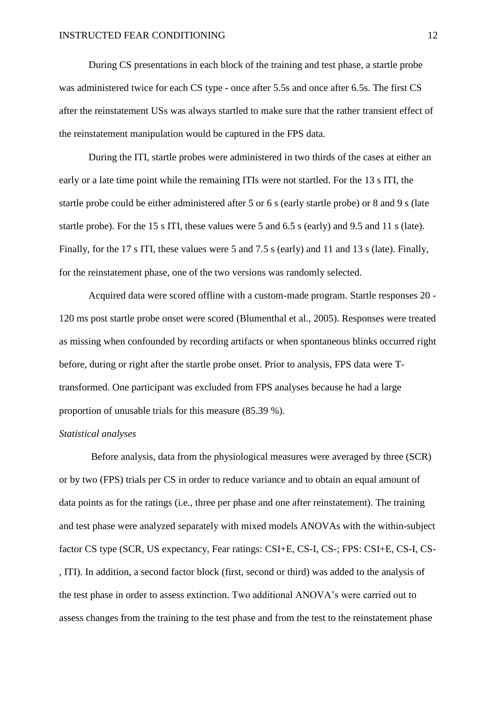During CS presentations in each block of the training and test phase, a startle probe was administered twice for each CS type - once after 5.5s and once after 6.5s. The first CS after the reinstatement USs was always startled to make sure that the rather transient effect of the reinstatement manipulation would be captured in the FPS data.

During the ITI, startle probes were administered in two thirds of the cases at either an early or a late time point while the remaining ITIs were not startled. For the 13 s ITI, the startle probe could be either administered after 5 or 6 s (early startle probe) or 8 and 9 s (late startle probe). For the 15 s ITI, these values were 5 and 6.5 s (early) and 9.5 and 11 s (late). Finally, for the 17 s ITI, these values were 5 and 7.5 s (early) and 11 and 13 s (late). Finally, for the reinstatement phase, one of the two versions was randomly selected.

Acquired data were scored offline with a custom-made program. Startle responses 20 - 120 ms post startle probe onset were scored (Blumenthal et al., 2005). Responses were treated as missing when confounded by recording artifacts or when spontaneous blinks occurred right before, during or right after the startle probe onset. Prior to analysis, FPS data were Ttransformed. One participant was excluded from FPS analyses because he had a large proportion of unusable trials for this measure (85.39 %).

## *Statistical analyses*

Before analysis, data from the physiological measures were averaged by three (SCR) or by two (FPS) trials per CS in order to reduce variance and to obtain an equal amount of data points as for the ratings (i.e., three per phase and one after reinstatement). The training and test phase were analyzed separately with mixed models ANOVAs with the within-subject factor CS type (SCR, US expectancy, Fear ratings: CSI+E, CS-I, CS-; FPS: CSI+E, CS-I, CS- , ITI). In addition, a second factor block (first, second or third) was added to the analysis of the test phase in order to assess extinction. Two additional ANOVA's were carried out to assess changes from the training to the test phase and from the test to the reinstatement phase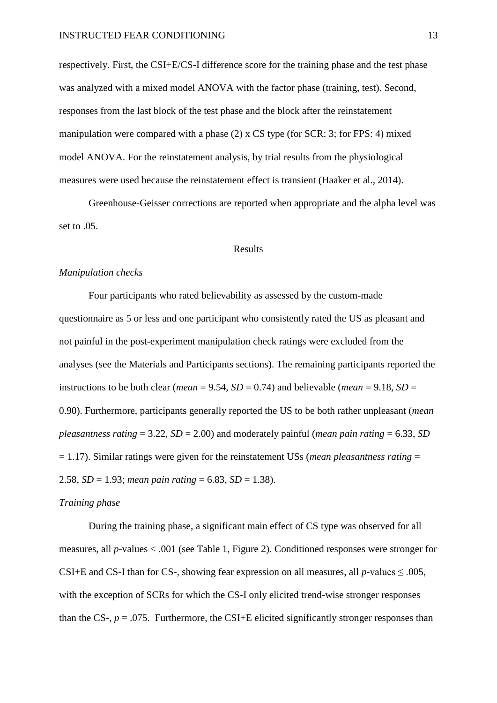respectively. First, the CSI+E/CS-I difference score for the training phase and the test phase was analyzed with a mixed model ANOVA with the factor phase (training, test). Second, responses from the last block of the test phase and the block after the reinstatement manipulation were compared with a phase (2) x CS type (for SCR: 3; for FPS: 4) mixed model ANOVA. For the reinstatement analysis, by trial results from the physiological measures were used because the reinstatement effect is transient (Haaker et al., 2014).

Greenhouse-Geisser corrections are reported when appropriate and the alpha level was set to .05.

#### Results

#### *Manipulation checks*

Four participants who rated believability as assessed by the custom-made questionnaire as 5 or less and one participant who consistently rated the US as pleasant and not painful in the post-experiment manipulation check ratings were excluded from the analyses (see the Materials and Participants sections). The remaining participants reported the instructions to be both clear (*mean* = 9.54,  $SD = 0.74$ ) and believable (*mean* = 9.18,  $SD =$ 0.90). Furthermore, participants generally reported the US to be both rather unpleasant (*mean pleasantness rating* = 3.22, *SD* = 2.00) and moderately painful (*mean pain rating* = 6.33, *SD* = 1.17). Similar ratings were given for the reinstatement USs (*mean pleasantness rating* = 2.58,  $SD = 1.93$ ; *mean pain rating* = 6.83,  $SD = 1.38$ ).

#### *Training phase*

During the training phase, a significant main effect of CS type was observed for all measures, all *p*-values < .001 (see Table 1, Figure 2). Conditioned responses were stronger for CSI+E and CS-I than for CS-, showing fear expression on all measures, all *p*-values ≤ .005, with the exception of SCRs for which the CS-I only elicited trend-wise stronger responses than the CS-,  $p = .075$ . Furthermore, the CSI+E elicited significantly stronger responses than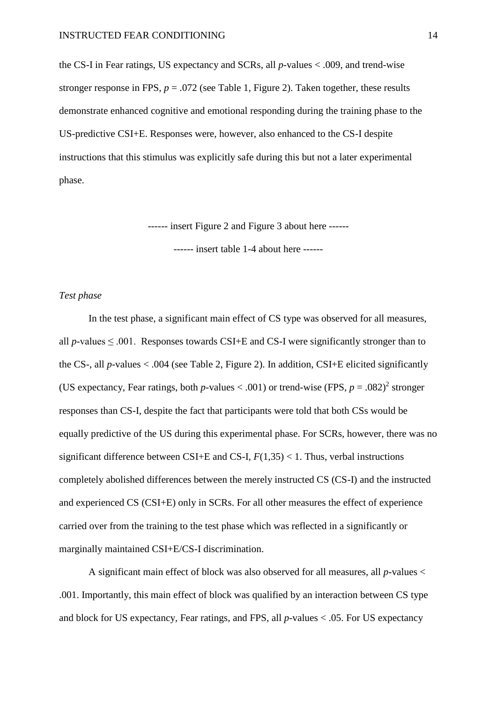the CS-I in Fear ratings, US expectancy and SCRs, all *p*-values < .009, and trend-wise stronger response in FPS,  $p = .072$  (see Table 1, Figure 2). Taken together, these results demonstrate enhanced cognitive and emotional responding during the training phase to the US-predictive CSI+E. Responses were, however, also enhanced to the CS-I despite instructions that this stimulus was explicitly safe during this but not a later experimental phase.

------ insert Figure 2 and Figure 3 about here ------

------ insert table 1-4 about here ------

## *Test phase*

In the test phase, a significant main effect of CS type was observed for all measures, all  $p$ -values  $\leq 0.001$ . Responses towards CSI+E and CS-I were significantly stronger than to the CS-, all *p*-values < .004 (see Table 2, Figure 2). In addition, CSI+E elicited significantly (US expectancy, Fear ratings, both *p*-values < .001) or trend-wise (FPS,  $p = .082$ )<sup>2</sup> stronger responses than CS-I, despite the fact that participants were told that both CSs would be equally predictive of the US during this experimental phase. For SCRs, however, there was no significant difference between CSI+E and CS-I,  $F(1,35)$  < 1. Thus, verbal instructions completely abolished differences between the merely instructed CS (CS-I) and the instructed and experienced CS (CSI+E) only in SCRs. For all other measures the effect of experience carried over from the training to the test phase which was reflected in a significantly or marginally maintained CSI+E/CS-I discrimination.

A significant main effect of block was also observed for all measures, all *p*-values < .001. Importantly, this main effect of block was qualified by an interaction between CS type and block for US expectancy, Fear ratings, and FPS, all *p*-values < .05. For US expectancy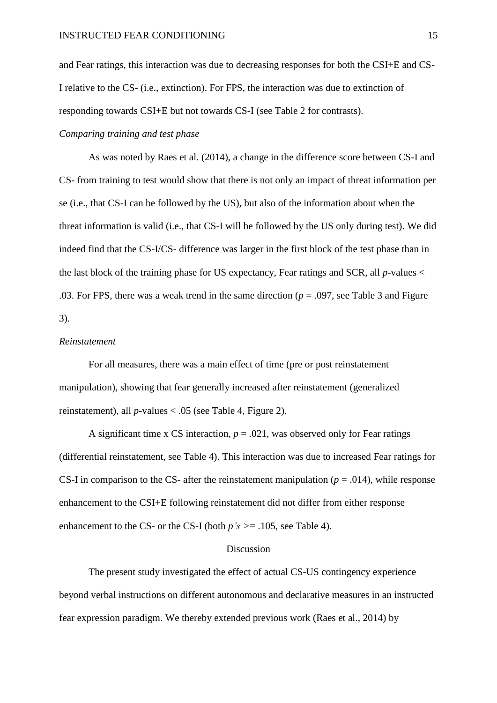and Fear ratings, this interaction was due to decreasing responses for both the CSI+E and CS-I relative to the CS- (i.e., extinction). For FPS, the interaction was due to extinction of responding towards CSI+E but not towards CS-I (see Table 2 for contrasts).

## *Comparing training and test phase*

As was noted by Raes et al. (2014), a change in the difference score between CS-I and CS- from training to test would show that there is not only an impact of threat information per se (i.e., that CS-I can be followed by the US), but also of the information about when the threat information is valid (i.e., that CS-I will be followed by the US only during test). We did indeed find that the CS-I/CS- difference was larger in the first block of the test phase than in the last block of the training phase for US expectancy, Fear ratings and SCR, all *p*-values < .03. For FPS, there was a weak trend in the same direction (*p* = .097, see Table 3 and Figure 3).

## *Reinstatement*

For all measures, there was a main effect of time (pre or post reinstatement manipulation), showing that fear generally increased after reinstatement (generalized reinstatement), all *p*-values < .05 (see Table 4, Figure 2).

A significant time x CS interaction,  $p = .021$ , was observed only for Fear ratings (differential reinstatement, see Table 4). This interaction was due to increased Fear ratings for CS-I in comparison to the CS- after the reinstatement manipulation ( $p = .014$ ), while response enhancement to the CSI+E following reinstatement did not differ from either response enhancement to the CS- or the CS-I (both  $p's \ge 0.105$ , see Table 4).

#### Discussion

The present study investigated the effect of actual CS-US contingency experience beyond verbal instructions on different autonomous and declarative measures in an instructed fear expression paradigm. We thereby extended previous work (Raes et al., 2014) by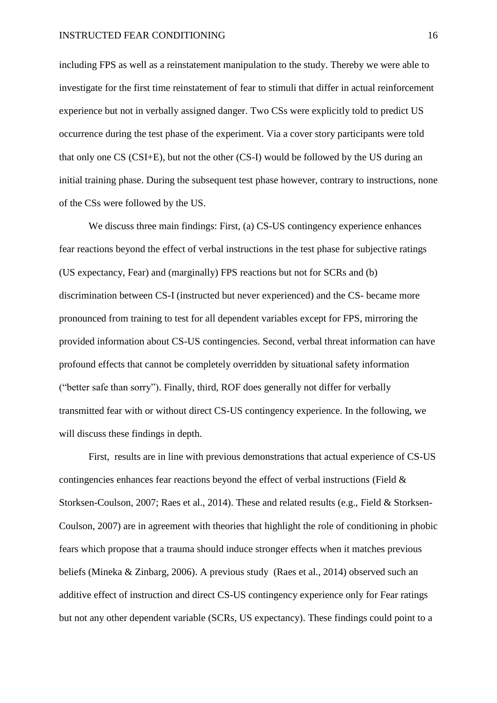including FPS as well as a reinstatement manipulation to the study. Thereby we were able to investigate for the first time reinstatement of fear to stimuli that differ in actual reinforcement experience but not in verbally assigned danger. Two CSs were explicitly told to predict US occurrence during the test phase of the experiment. Via a cover story participants were told that only one CS (CSI+E), but not the other (CS-I) would be followed by the US during an initial training phase. During the subsequent test phase however, contrary to instructions, none of the CSs were followed by the US.

We discuss three main findings: First, (a) CS-US contingency experience enhances fear reactions beyond the effect of verbal instructions in the test phase for subjective ratings (US expectancy, Fear) and (marginally) FPS reactions but not for SCRs and (b) discrimination between CS-I (instructed but never experienced) and the CS- became more pronounced from training to test for all dependent variables except for FPS, mirroring the provided information about CS-US contingencies. Second, verbal threat information can have profound effects that cannot be completely overridden by situational safety information ("better safe than sorry"). Finally, third, ROF does generally not differ for verbally transmitted fear with or without direct CS-US contingency experience. In the following, we will discuss these findings in depth.

First, results are in line with previous demonstrations that actual experience of CS-US contingencies enhances fear reactions beyond the effect of verbal instructions (Field & Storksen-Coulson, 2007; Raes et al., 2014). These and related results (e.g., Field & Storksen-Coulson, 2007) are in agreement with theories that highlight the role of conditioning in phobic fears which propose that a trauma should induce stronger effects when it matches previous beliefs (Mineka & Zinbarg, 2006). A previous study (Raes et al., 2014) observed such an additive effect of instruction and direct CS-US contingency experience only for Fear ratings but not any other dependent variable (SCRs, US expectancy). These findings could point to a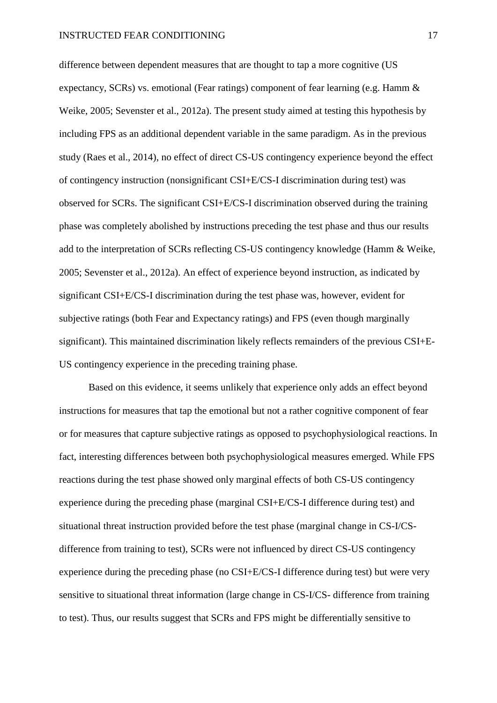difference between dependent measures that are thought to tap a more cognitive (US expectancy, SCRs) vs. emotional (Fear ratings) component of fear learning (e.g. Hamm & Weike, 2005; Sevenster et al., 2012a). The present study aimed at testing this hypothesis by including FPS as an additional dependent variable in the same paradigm. As in the previous study (Raes et al., 2014), no effect of direct CS-US contingency experience beyond the effect of contingency instruction (nonsignificant CSI+E/CS-I discrimination during test) was observed for SCRs. The significant CSI+E/CS-I discrimination observed during the training phase was completely abolished by instructions preceding the test phase and thus our results add to the interpretation of SCRs reflecting CS-US contingency knowledge (Hamm & Weike, 2005; Sevenster et al., 2012a). An effect of experience beyond instruction, as indicated by significant CSI+E/CS-I discrimination during the test phase was, however, evident for subjective ratings (both Fear and Expectancy ratings) and FPS (even though marginally significant). This maintained discrimination likely reflects remainders of the previous CSI+E-US contingency experience in the preceding training phase.

Based on this evidence, it seems unlikely that experience only adds an effect beyond instructions for measures that tap the emotional but not a rather cognitive component of fear or for measures that capture subjective ratings as opposed to psychophysiological reactions. In fact, interesting differences between both psychophysiological measures emerged. While FPS reactions during the test phase showed only marginal effects of both CS-US contingency experience during the preceding phase (marginal CSI+E/CS-I difference during test) and situational threat instruction provided before the test phase (marginal change in CS-I/CSdifference from training to test), SCRs were not influenced by direct CS-US contingency experience during the preceding phase (no CSI+E/CS-I difference during test) but were very sensitive to situational threat information (large change in CS-I/CS- difference from training to test). Thus, our results suggest that SCRs and FPS might be differentially sensitive to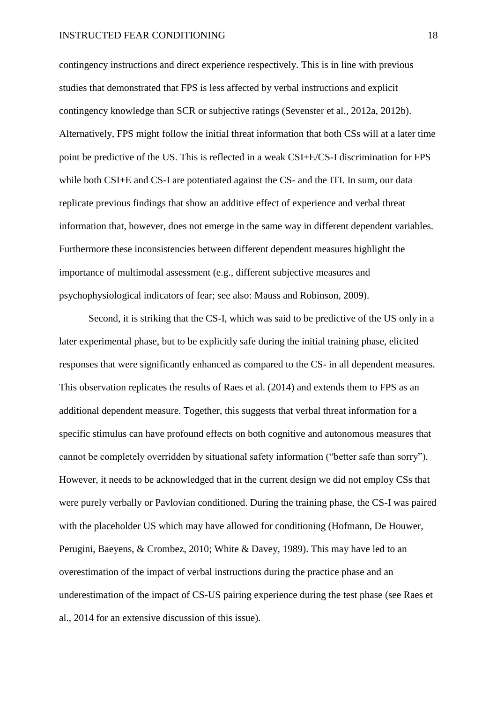contingency instructions and direct experience respectively. This is in line with previous studies that demonstrated that FPS is less affected by verbal instructions and explicit contingency knowledge than SCR or subjective ratings (Sevenster et al., 2012a, 2012b). Alternatively, FPS might follow the initial threat information that both CSs will at a later time point be predictive of the US. This is reflected in a weak CSI+E/CS-I discrimination for FPS while both CSI+E and CS-I are potentiated against the CS- and the ITI. In sum, our data replicate previous findings that show an additive effect of experience and verbal threat information that, however, does not emerge in the same way in different dependent variables. Furthermore these inconsistencies between different dependent measures highlight the importance of multimodal assessment (e.g., different subjective measures and psychophysiological indicators of fear; see also: Mauss and Robinson, 2009).

Second, it is striking that the CS-I, which was said to be predictive of the US only in a later experimental phase, but to be explicitly safe during the initial training phase, elicited responses that were significantly enhanced as compared to the CS- in all dependent measures. This observation replicates the results of Raes et al. (2014) and extends them to FPS as an additional dependent measure. Together, this suggests that verbal threat information for a specific stimulus can have profound effects on both cognitive and autonomous measures that cannot be completely overridden by situational safety information ("better safe than sorry"). However, it needs to be acknowledged that in the current design we did not employ CSs that were purely verbally or Pavlovian conditioned. During the training phase, the CS-I was paired with the placeholder US which may have allowed for conditioning (Hofmann, De Houwer, Perugini, Baeyens, & Crombez, 2010; White & Davey, 1989). This may have led to an overestimation of the impact of verbal instructions during the practice phase and an underestimation of the impact of CS-US pairing experience during the test phase (see Raes et al., 2014 for an extensive discussion of this issue).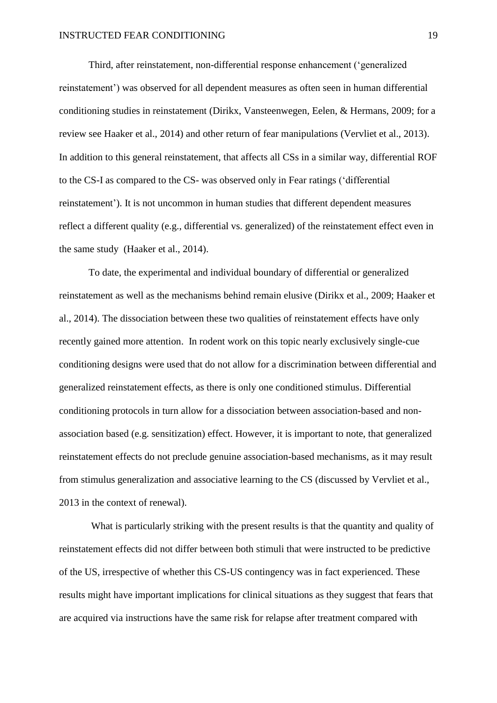Third, after reinstatement, non-differential response enhancement ('generalized reinstatement') was observed for all dependent measures as often seen in human differential conditioning studies in reinstatement (Dirikx, Vansteenwegen, Eelen, & Hermans, 2009; for a review see Haaker et al., 2014) and other return of fear manipulations (Vervliet et al., 2013). In addition to this general reinstatement, that affects all CSs in a similar way, differential ROF to the CS-I as compared to the CS- was observed only in Fear ratings ('differential reinstatement'). It is not uncommon in human studies that different dependent measures reflect a different quality (e.g., differential vs. generalized) of the reinstatement effect even in the same study (Haaker et al., 2014).

To date, the experimental and individual boundary of differential or generalized reinstatement as well as the mechanisms behind remain elusive (Dirikx et al., 2009; Haaker et al., 2014). The dissociation between these two qualities of reinstatement effects have only recently gained more attention. In rodent work on this topic nearly exclusively single-cue conditioning designs were used that do not allow for a discrimination between differential and generalized reinstatement effects, as there is only one conditioned stimulus. Differential conditioning protocols in turn allow for a dissociation between association-based and nonassociation based (e.g. sensitization) effect. However, it is important to note, that generalized reinstatement effects do not preclude genuine association-based mechanisms, as it may result from stimulus generalization and associative learning to the CS (discussed by Vervliet et al., 2013 in the context of renewal).

What is particularly striking with the present results is that the quantity and quality of reinstatement effects did not differ between both stimuli that were instructed to be predictive of the US, irrespective of whether this CS-US contingency was in fact experienced. These results might have important implications for clinical situations as they suggest that fears that are acquired via instructions have the same risk for relapse after treatment compared with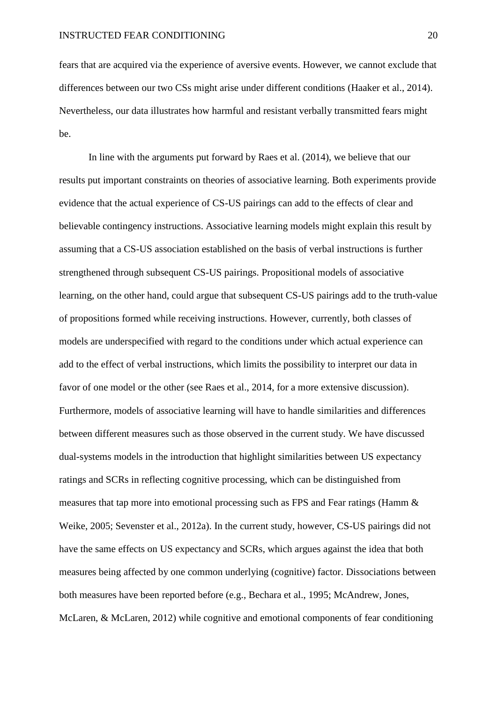fears that are acquired via the experience of aversive events. However, we cannot exclude that differences between our two CSs might arise under different conditions (Haaker et al., 2014). Nevertheless, our data illustrates how harmful and resistant verbally transmitted fears might be.

In line with the arguments put forward by Raes et al. (2014), we believe that our results put important constraints on theories of associative learning. Both experiments provide evidence that the actual experience of CS-US pairings can add to the effects of clear and believable contingency instructions. Associative learning models might explain this result by assuming that a CS-US association established on the basis of verbal instructions is further strengthened through subsequent CS-US pairings. Propositional models of associative learning, on the other hand, could argue that subsequent CS-US pairings add to the truth-value of propositions formed while receiving instructions. However, currently, both classes of models are underspecified with regard to the conditions under which actual experience can add to the effect of verbal instructions, which limits the possibility to interpret our data in favor of one model or the other (see Raes et al., 2014, for a more extensive discussion). Furthermore, models of associative learning will have to handle similarities and differences between different measures such as those observed in the current study. We have discussed dual-systems models in the introduction that highlight similarities between US expectancy ratings and SCRs in reflecting cognitive processing, which can be distinguished from measures that tap more into emotional processing such as FPS and Fear ratings (Hamm & Weike, 2005; Sevenster et al., 2012a). In the current study, however, CS-US pairings did not have the same effects on US expectancy and SCRs, which argues against the idea that both measures being affected by one common underlying (cognitive) factor. Dissociations between both measures have been reported before (e.g., Bechara et al., 1995; McAndrew, Jones, McLaren, & McLaren, 2012) while cognitive and emotional components of fear conditioning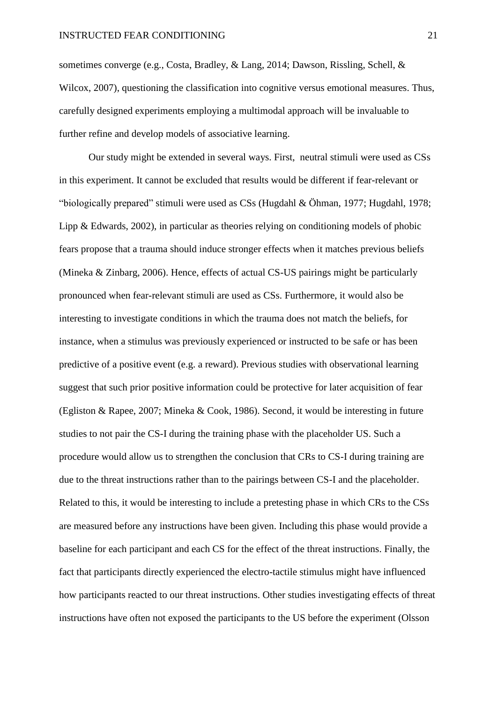sometimes converge (e.g., Costa, Bradley, & Lang, 2014; Dawson, Rissling, Schell, & Wilcox, 2007), questioning the classification into cognitive versus emotional measures. Thus, carefully designed experiments employing a multimodal approach will be invaluable to further refine and develop models of associative learning.

Our study might be extended in several ways. First, neutral stimuli were used as CSs in this experiment. It cannot be excluded that results would be different if fear-relevant or "biologically prepared" stimuli were used as CSs (Hugdahl & Öhman, 1977; Hugdahl, 1978; Lipp & Edwards, 2002), in particular as theories relying on conditioning models of phobic fears propose that a trauma should induce stronger effects when it matches previous beliefs (Mineka & Zinbarg, 2006). Hence, effects of actual CS-US pairings might be particularly pronounced when fear-relevant stimuli are used as CSs. Furthermore, it would also be interesting to investigate conditions in which the trauma does not match the beliefs, for instance, when a stimulus was previously experienced or instructed to be safe or has been predictive of a positive event (e.g. a reward). Previous studies with observational learning suggest that such prior positive information could be protective for later acquisition of fear (Egliston & Rapee, 2007; Mineka & Cook, 1986). Second, it would be interesting in future studies to not pair the CS-I during the training phase with the placeholder US. Such a procedure would allow us to strengthen the conclusion that CRs to CS-I during training are due to the threat instructions rather than to the pairings between CS-I and the placeholder. Related to this, it would be interesting to include a pretesting phase in which CRs to the CSs are measured before any instructions have been given. Including this phase would provide a baseline for each participant and each CS for the effect of the threat instructions. Finally, the fact that participants directly experienced the electro-tactile stimulus might have influenced how participants reacted to our threat instructions. Other studies investigating effects of threat instructions have often not exposed the participants to the US before the experiment (Olsson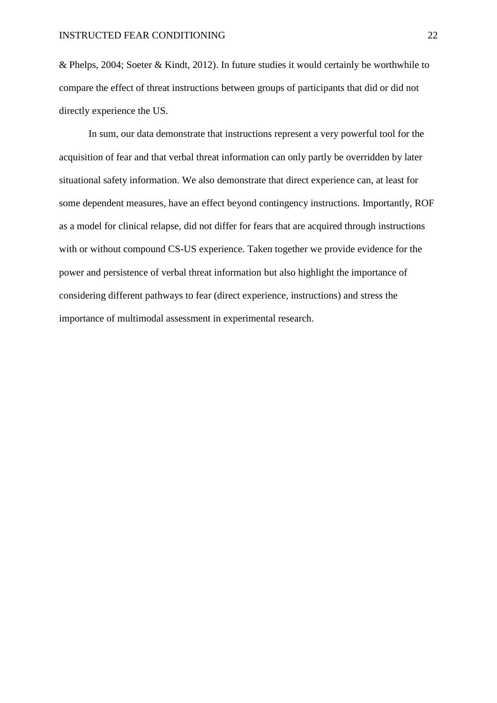& Phelps, 2004; Soeter & Kindt, 2012). In future studies it would certainly be worthwhile to compare the effect of threat instructions between groups of participants that did or did not directly experience the US.

In sum, our data demonstrate that instructions represent a very powerful tool for the acquisition of fear and that verbal threat information can only partly be overridden by later situational safety information. We also demonstrate that direct experience can, at least for some dependent measures, have an effect beyond contingency instructions. Importantly, ROF as a model for clinical relapse, did not differ for fears that are acquired through instructions with or without compound CS-US experience. Taken together we provide evidence for the power and persistence of verbal threat information but also highlight the importance of considering different pathways to fear (direct experience, instructions) and stress the importance of multimodal assessment in experimental research.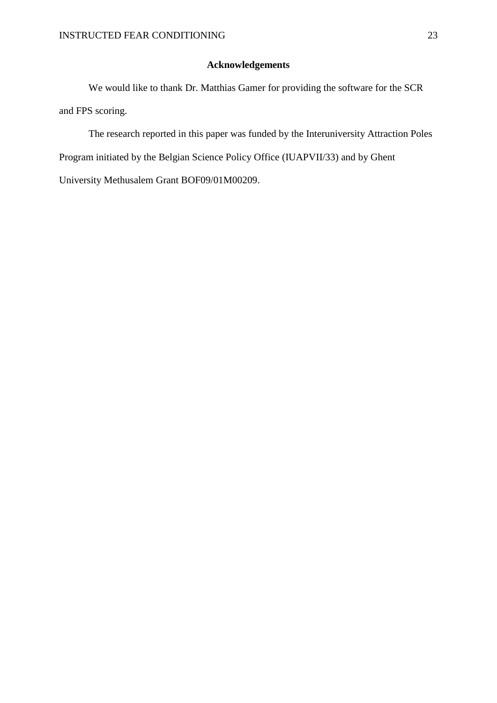# **Acknowledgements**

We would like to thank Dr. Matthias Gamer for providing the software for the SCR and FPS scoring.

The research reported in this paper was funded by the Interuniversity Attraction Poles Program initiated by the Belgian Science Policy Office (IUAPVII/33) and by Ghent University Methusalem Grant BOF09/01M00209.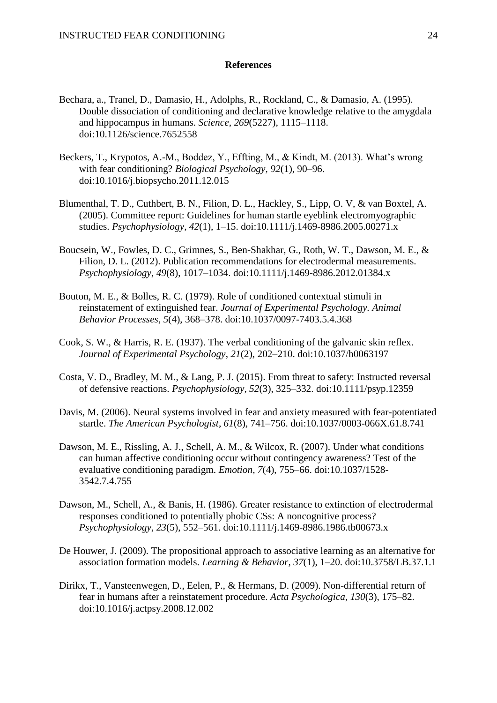### **References**

- Bechara, a., Tranel, D., Damasio, H., Adolphs, R., Rockland, C., & Damasio, A. (1995). Double dissociation of conditioning and declarative knowledge relative to the amygdala and hippocampus in humans. *Science*, *269*(5227), 1115–1118. doi:10.1126/science.7652558
- Beckers, T., Krypotos, A.-M., Boddez, Y., Effting, M., & Kindt, M. (2013). What's wrong with fear conditioning? *Biological Psychology*, *92*(1), 90–96. doi:10.1016/j.biopsycho.2011.12.015
- Blumenthal, T. D., Cuthbert, B. N., Filion, D. L., Hackley, S., Lipp, O. V, & van Boxtel, A. (2005). Committee report: Guidelines for human startle eyeblink electromyographic studies. *Psychophysiology*, *42*(1), 1–15. doi:10.1111/j.1469-8986.2005.00271.x
- Boucsein, W., Fowles, D. C., Grimnes, S., Ben-Shakhar, G., Roth, W. T., Dawson, M. E., & Filion, D. L. (2012). Publication recommendations for electrodermal measurements. *Psychophysiology*, *49*(8), 1017–1034. doi:10.1111/j.1469-8986.2012.01384.x
- Bouton, M. E., & Bolles, R. C. (1979). Role of conditioned contextual stimuli in reinstatement of extinguished fear. *Journal of Experimental Psychology. Animal Behavior Processes*, *5*(4), 368–378. doi:10.1037/0097-7403.5.4.368
- Cook, S. W., & Harris, R. E. (1937). The verbal conditioning of the galvanic skin reflex. *Journal of Experimental Psychology*, *21*(2), 202–210. doi:10.1037/h0063197
- Costa, V. D., Bradley, M. M., & Lang, P. J. (2015). From threat to safety: Instructed reversal of defensive reactions. *Psychophysiology*, *52*(3), 325–332. doi:10.1111/psyp.12359
- Davis, M. (2006). Neural systems involved in fear and anxiety measured with fear-potentiated startle. *The American Psychologist*, *61*(8), 741–756. doi:10.1037/0003-066X.61.8.741
- Dawson, M. E., Rissling, A. J., Schell, A. M., & Wilcox, R. (2007). Under what conditions can human affective conditioning occur without contingency awareness? Test of the evaluative conditioning paradigm. *Emotion*, *7*(4), 755–66. doi:10.1037/1528- 3542.7.4.755
- Dawson, M., Schell, A., & Banis, H. (1986). Greater resistance to extinction of electrodermal responses conditioned to potentially phobic CSs: A noncognitive process? *Psychophysiology*, *23*(5), 552–561. doi:10.1111/j.1469-8986.1986.tb00673.x
- De Houwer, J. (2009). The propositional approach to associative learning as an alternative for association formation models. *Learning & Behavior*, *37*(1), 1–20. doi:10.3758/LB.37.1.1
- Dirikx, T., Vansteenwegen, D., Eelen, P., & Hermans, D. (2009). Non-differential return of fear in humans after a reinstatement procedure. *Acta Psychologica*, *130*(3), 175–82. doi:10.1016/j.actpsy.2008.12.002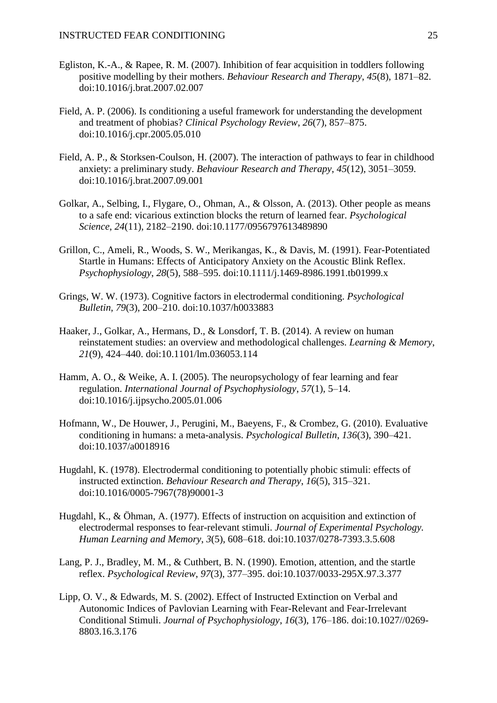- Egliston, K.-A., & Rapee, R. M. (2007). Inhibition of fear acquisition in toddlers following positive modelling by their mothers. *Behaviour Research and Therapy*, *45*(8), 1871–82. doi:10.1016/j.brat.2007.02.007
- Field, A. P. (2006). Is conditioning a useful framework for understanding the development and treatment of phobias? *Clinical Psychology Review*, *26*(7), 857–875. doi:10.1016/j.cpr.2005.05.010
- Field, A. P., & Storksen-Coulson, H. (2007). The interaction of pathways to fear in childhood anxiety: a preliminary study. *Behaviour Research and Therapy*, *45*(12), 3051–3059. doi:10.1016/j.brat.2007.09.001
- Golkar, A., Selbing, I., Flygare, O., Ohman, A., & Olsson, A. (2013). Other people as means to a safe end: vicarious extinction blocks the return of learned fear. *Psychological Science*, *24*(11), 2182–2190. doi:10.1177/0956797613489890
- Grillon, C., Ameli, R., Woods, S. W., Merikangas, K., & Davis, M. (1991). Fear-Potentiated Startle in Humans: Effects of Anticipatory Anxiety on the Acoustic Blink Reflex. *Psychophysiology*, *28*(5), 588–595. doi:10.1111/j.1469-8986.1991.tb01999.x
- Grings, W. W. (1973). Cognitive factors in electrodermal conditioning. *Psychological Bulletin*, *79*(3), 200–210. doi:10.1037/h0033883
- Haaker, J., Golkar, A., Hermans, D., & Lonsdorf, T. B. (2014). A review on human reinstatement studies: an overview and methodological challenges. *Learning & Memory*, *21*(9), 424–440. doi:10.1101/lm.036053.114
- Hamm, A. O., & Weike, A. I. (2005). The neuropsychology of fear learning and fear regulation. *International Journal of Psychophysiology*, *57*(1), 5–14. doi:10.1016/j.ijpsycho.2005.01.006
- Hofmann, W., De Houwer, J., Perugini, M., Baeyens, F., & Crombez, G. (2010). Evaluative conditioning in humans: a meta-analysis. *Psychological Bulletin*, *136*(3), 390–421. doi:10.1037/a0018916
- Hugdahl, K. (1978). Electrodermal conditioning to potentially phobic stimuli: effects of instructed extinction. *Behaviour Research and Therapy*, *16*(5), 315–321. doi:10.1016/0005-7967(78)90001-3
- Hugdahl, K., & Öhman, A. (1977). Effects of instruction on acquisition and extinction of electrodermal responses to fear-relevant stimuli. *Journal of Experimental Psychology. Human Learning and Memory*, *3*(5), 608–618. doi:10.1037/0278-7393.3.5.608
- Lang, P. J., Bradley, M. M., & Cuthbert, B. N. (1990). Emotion, attention, and the startle reflex. *Psychological Review*, *97*(3), 377–395. doi:10.1037/0033-295X.97.3.377
- Lipp, O. V., & Edwards, M. S. (2002). Effect of Instructed Extinction on Verbal and Autonomic Indices of Pavlovian Learning with Fear-Relevant and Fear-Irrelevant Conditional Stimuli. *Journal of Psychophysiology*, *16*(3), 176–186. doi:10.1027//0269- 8803.16.3.176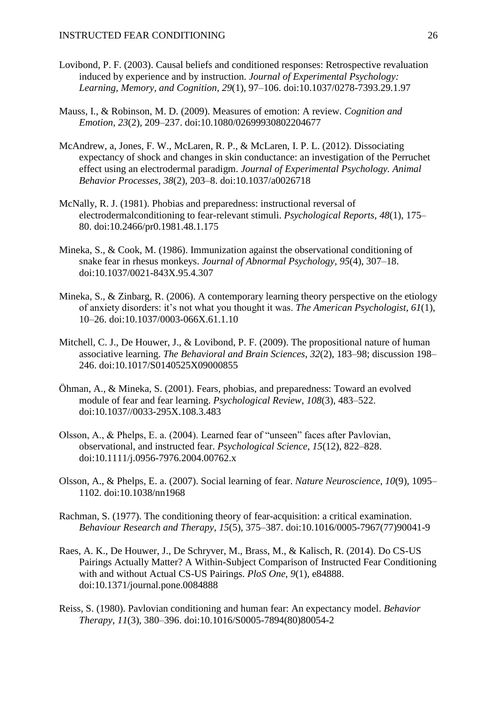- Lovibond, P. F. (2003). Causal beliefs and conditioned responses: Retrospective revaluation induced by experience and by instruction. *Journal of Experimental Psychology: Learning, Memory, and Cognition*, *29*(1), 97–106. doi:10.1037/0278-7393.29.1.97
- Mauss, I., & Robinson, M. D. (2009). Measures of emotion: A review. *Cognition and Emotion*, *23*(2), 209–237. doi:10.1080/02699930802204677
- McAndrew, a, Jones, F. W., McLaren, R. P., & McLaren, I. P. L. (2012). Dissociating expectancy of shock and changes in skin conductance: an investigation of the Perruchet effect using an electrodermal paradigm. *Journal of Experimental Psychology. Animal Behavior Processes*, *38*(2), 203–8. doi:10.1037/a0026718
- McNally, R. J. (1981). Phobias and preparedness: instructional reversal of electrodermalconditioning to fear-relevant stimuli. *Psychological Reports*, *48*(1), 175– 80. doi:10.2466/pr0.1981.48.1.175
- Mineka, S., & Cook, M. (1986). Immunization against the observational conditioning of snake fear in rhesus monkeys. *Journal of Abnormal Psychology*, *95*(4), 307–18. doi:10.1037/0021-843X.95.4.307
- Mineka, S., & Zinbarg, R. (2006). A contemporary learning theory perspective on the etiology of anxiety disorders: it's not what you thought it was. *The American Psychologist*, *61*(1), 10–26. doi:10.1037/0003-066X.61.1.10
- Mitchell, C. J., De Houwer, J., & Lovibond, P. F. (2009). The propositional nature of human associative learning. *The Behavioral and Brain Sciences*, *32*(2), 183–98; discussion 198– 246. doi:10.1017/S0140525X09000855
- Öhman, A., & Mineka, S. (2001). Fears, phobias, and preparedness: Toward an evolved module of fear and fear learning. *Psychological Review*, *108*(3), 483–522. doi:10.1037//0033-295X.108.3.483
- Olsson, A., & Phelps, E. a. (2004). Learned fear of "unseen" faces after Pavlovian, observational, and instructed fear. *Psychological Science*, *15*(12), 822–828. doi:10.1111/j.0956-7976.2004.00762.x
- Olsson, A., & Phelps, E. a. (2007). Social learning of fear. *Nature Neuroscience*, *10*(9), 1095– 1102. doi:10.1038/nn1968
- Rachman, S. (1977). The conditioning theory of fear-acquisition: a critical examination. *Behaviour Research and Therapy*, *15*(5), 375–387. doi:10.1016/0005-7967(77)90041-9
- Raes, A. K., De Houwer, J., De Schryver, M., Brass, M., & Kalisch, R. (2014). Do CS-US Pairings Actually Matter? A Within-Subject Comparison of Instructed Fear Conditioning with and without Actual CS-US Pairings. *PloS One*, *9*(1), e84888. doi:10.1371/journal.pone.0084888
- Reiss, S. (1980). Pavlovian conditioning and human fear: An expectancy model. *Behavior Therapy*, *11*(3), 380–396. doi:10.1016/S0005-7894(80)80054-2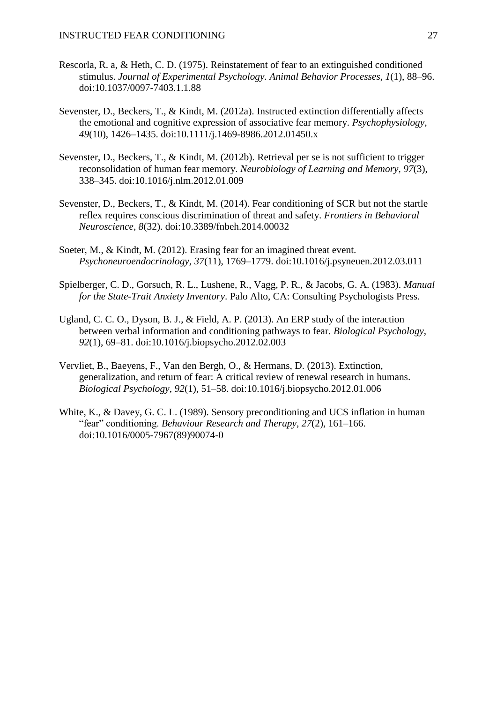- Rescorla, R. a, & Heth, C. D. (1975). Reinstatement of fear to an extinguished conditioned stimulus. *Journal of Experimental Psychology. Animal Behavior Processes*, *1*(1), 88–96. doi:10.1037/0097-7403.1.1.88
- Sevenster, D., Beckers, T., & Kindt, M. (2012a). Instructed extinction differentially affects the emotional and cognitive expression of associative fear memory. *Psychophysiology*, *49*(10), 1426–1435. doi:10.1111/j.1469-8986.2012.01450.x
- Sevenster, D., Beckers, T., & Kindt, M. (2012b). Retrieval per se is not sufficient to trigger reconsolidation of human fear memory. *Neurobiology of Learning and Memory*, *97*(3), 338–345. doi:10.1016/j.nlm.2012.01.009
- Sevenster, D., Beckers, T., & Kindt, M. (2014). Fear conditioning of SCR but not the startle reflex requires conscious discrimination of threat and safety. *Frontiers in Behavioral Neuroscience*, *8*(32). doi:10.3389/fnbeh.2014.00032
- Soeter, M., & Kindt, M. (2012). Erasing fear for an imagined threat event. *Psychoneuroendocrinology*, *37*(11), 1769–1779. doi:10.1016/j.psyneuen.2012.03.011
- Spielberger, C. D., Gorsuch, R. L., Lushene, R., Vagg, P. R., & Jacobs, G. A. (1983). *Manual for the State-Trait Anxiety Inventory*. Palo Alto, CA: Consulting Psychologists Press.
- Ugland, C. C. O., Dyson, B. J., & Field, A. P. (2013). An ERP study of the interaction between verbal information and conditioning pathways to fear. *Biological Psychology*, *92*(1), 69–81. doi:10.1016/j.biopsycho.2012.02.003
- Vervliet, B., Baeyens, F., Van den Bergh, O., & Hermans, D. (2013). Extinction, generalization, and return of fear: A critical review of renewal research in humans. *Biological Psychology*, *92*(1), 51–58. doi:10.1016/j.biopsycho.2012.01.006
- White, K., & Davey, G. C. L. (1989). Sensory preconditioning and UCS inflation in human "fear" conditioning. *Behaviour Research and Therapy*, *27*(2), 161–166. doi:10.1016/0005-7967(89)90074-0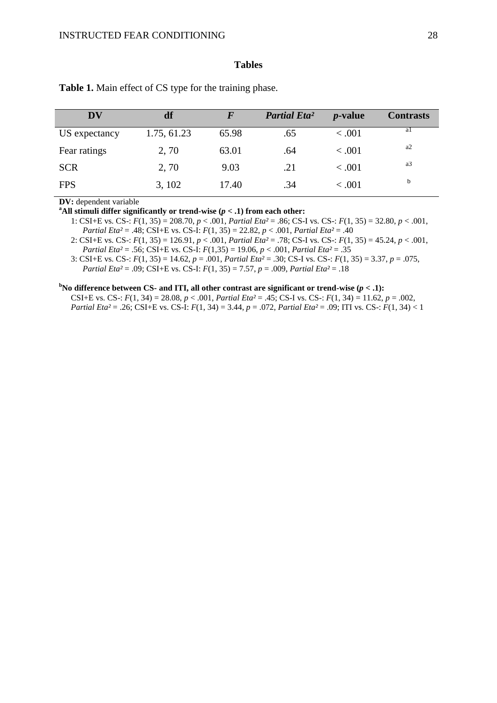#### **Tables**

| <b>DV</b>     | df          | F     | <b>Partial Eta<sup>2</sup></b> | <i>p</i> -value | <b>Contrasts</b> |
|---------------|-------------|-------|--------------------------------|-----------------|------------------|
| US expectancy | 1.75, 61.23 | 65.98 | .65                            | < .001          |                  |
| Fear ratings  | 2,70        | 63.01 | .64                            | < .001          | a <sub>2</sub>   |
| <b>SCR</b>    | 2,70        | 9.03  | .21                            | < .001          | a <sub>3</sub>   |
| <b>FPS</b>    | 3, 102      | 17.40 | .34                            | < .001          | b                |

**Table 1.** Main effect of CS type for the training phase.

**DV:** dependent variable

<sup>a</sup>All stimuli differ significantly or trend-wise  $(p < .1)$  from each other:

1: CSI+E vs. CS-: *F*(1, 35) = 208.70, *p* < .001, *Partial Eta²* = .86; CS-I vs. CS-: *F*(1, 35) = 32.80, *p* < .001, *Partial Eta²* = .48; CSI+E vs. CS-I: *F*(1, 35) = 22.82, *p* < .001, *Partial Eta²* = .40

2: CSI+E vs. CS-: *F*(1, 35) = 126.91, *p* < .001, *Partial Eta²* = .78; CS-I vs. CS-: *F*(1, 35) = 45.24, *p* < .001, *Partial Eta²* = .56; CSI+E vs. CS-I: *F*(1,35) = 19.06, *p* < .001, *Partial Eta²* = .35

3: CSI+E vs. CS-: *F*(1, 35) = 14.62, *p* = .001, *Partial Eta²* = .30; CS-I vs. CS-: *F*(1, 35) = 3.37, *p* = .075, *Partial Eta²* = .09; CSI+E vs. CS-I: *F*(1, 35) = 7.57, *p* = .009, *Partial Eta²* = .18

#### **<sup>b</sup>No difference between CS- and ITI, all other contrast are significant or trend-wise**  $(p < 1)$ **:**

CSI+E vs. CS-:  $F(1, 34) = 28.08$ ,  $p < .001$ , *Partial Eta*<sup>2</sup> = .45; CS-I vs. CS-:  $F(1, 34) = 11.62$ ,  $p = .002$ , *Partial Eta²* = .26; CSI+E vs. CS-I: *F*(1, 34) = 3.44, *p* = .072, *Partial Eta²* = .09; ITI vs. CS-: *F*(1, 34) < 1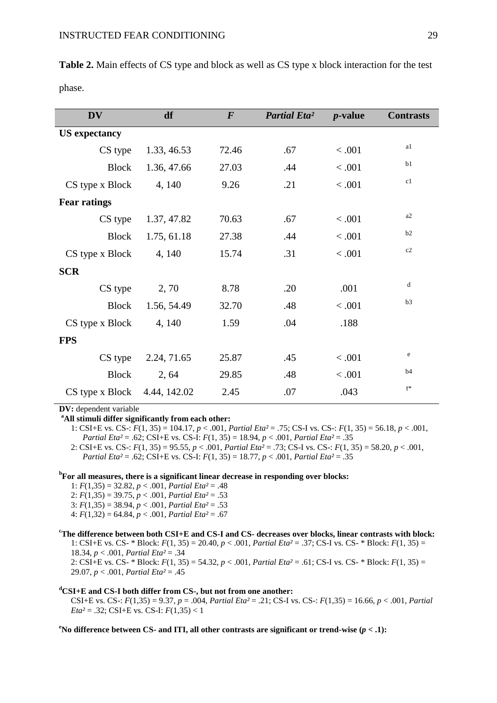| <b>DV</b>                         | df          | $\boldsymbol{F}$ | <b>Partial Eta<sup>2</sup></b> | $p$ -value | <b>Contrasts</b> |
|-----------------------------------|-------------|------------------|--------------------------------|------------|------------------|
| <b>US</b> expectancy              |             |                  |                                |            |                  |
| CS type                           | 1.33, 46.53 | 72.46            | .67                            | < .001     | a1               |
| <b>Block</b>                      | 1.36, 47.66 | 27.03            | .44                            | < .001     | b1               |
| CS type x Block                   | 4, 140      | 9.26             | .21                            | < .001     | c1               |
| <b>Fear ratings</b>               |             |                  |                                |            |                  |
| CS type                           | 1.37, 47.82 | 70.63            | .67                            | < .001     | a <sub>2</sub>   |
| <b>Block</b>                      | 1.75, 61.18 | 27.38            | .44                            | < .001     | b2               |
| CS type x Block                   | 4, 140      | 15.74            | .31                            | < .001     | c2               |
| <b>SCR</b>                        |             |                  |                                |            |                  |
| CS type                           | 2,70        | 8.78             | .20                            | .001       | d                |
| <b>Block</b>                      | 1.56, 54.49 | 32.70            | .48                            | < .001     | b3               |
| CS type x Block                   | 4, 140      | 1.59             | .04                            | .188       |                  |
| <b>FPS</b>                        |             |                  |                                |            |                  |
| CS type                           | 2.24, 71.65 | 25.87            | .45                            | < .001     | e                |
| <b>Block</b>                      | 2, 64       | 29.85            | .48                            | < .001     | b4               |
| $CS$ type x Block $4.44$ , 142.02 |             | 2.45             | .07                            | .043       | $f^*$            |

**Table 2.** Main effects of CS type and block as well as CS type x block interaction for the test phase.

**DV:** dependent variable

**<sup>a</sup>All stimuli differ significantly from each other:**

1: CSI+E vs. CS-: *F*(1, 35) = 104.17, *p* < .001, *Partial Eta²* = .75; CS-I vs. CS-: *F*(1, 35) = 56.18, *p* < .001, *Partial Eta²* = .62; CSI+E vs. CS-I: *F*(1, 35) = 18.94, *p* < .001, *Partial Eta²* = .35

2: CSI+E vs. CS-: *F*(1, 35) = 95.55, *p* < .001, *Partial Eta²* = .73; CS-I vs. CS-: *F*(1, 35) = 58.20, *p* < .001, *Partial Eta²* = .62; CSI+E vs. CS-I: *F*(1, 35) = 18.77, *p* < .001, *Partial Eta²* = .35

#### **b For all measures, there is a significant linear decrease in responding over blocks:**

- 1: *F*(1,35) = 32.82, *p* < .001, *Partial Eta²* = .48
- 2: *F*(1,35) = 39.75, *p* < .001, *Partial Eta²* = .53
- 3: *F*(1,35) = 38.94, *p* < .001, *Partial Eta²* = .53
- 4: *F*(1,32) = 64.84, *p* < .001, *Partial Eta²* = .67

#### **<sup>c</sup>The difference between both CSI+E and CS-I and CS- decreases over blocks, linear contrasts with block:** 1: CSI+E vs. CS- \* Block: *F*(1, 35) = 20.40, *p* < .001, *Partial Eta²* = .37; CS-I vs. CS- \* Block: *F*(1, 35) = 18.34, *p* < .001, *Partial Eta²* = .34 2: CSI+E vs. CS- \* Block: *F*(1, 35) = 54.32, *p* < .001, *Partial Eta²* = .61; CS-I vs. CS- \* Block: *F*(1, 35) = 29.07, *p* < .001, *Partial Eta²* = .45

#### **<sup>d</sup>CSI+E and CS-I both differ from CS-, but not from one another:**

CSI+E vs. CS-: *F*(1,35) = 9.37, *p* = .004, *Partial Eta²* = .21; CS-I vs. CS-: *F*(1,35) = 16.66, *p* < .001, *Partial Eta*<sup>2</sup> = .32; CSI+E vs. CS-I:  $F(1,35)$  < 1

**<sup>e</sup>No difference between CS- and ITI, all other contrasts are significant or trend-wise (***p* **< .1):**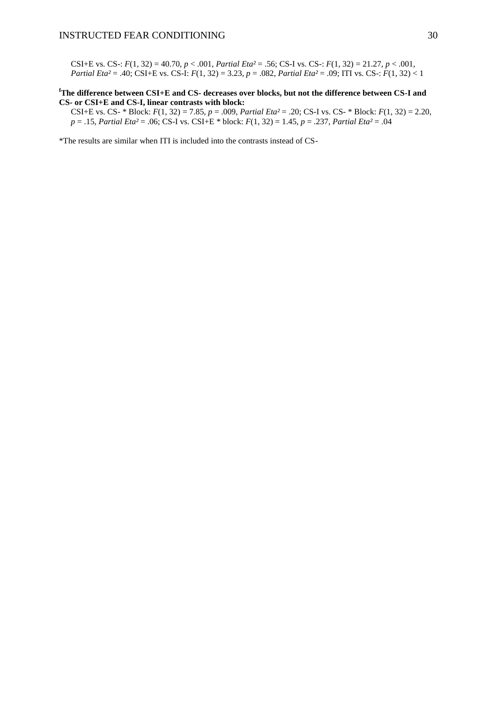CSI+E vs. CS-: *F*(1, 32) = 40.70, *p* < .001, *Partial Eta²* = .56; CS-I vs. CS-: *F*(1, 32) = 21.27, *p* < .001, *Partial Eta²* = .40; CSI+E vs. CS-I: *F*(1, 32) = 3.23, *p* = .082, *Partial Eta²* = .09; ITI vs. CS-: *F*(1, 32) < 1

#### **<sup>f</sup>The difference between CSI+E and CS- decreases over blocks, but not the difference between CS-I and CS- or CSI+E and CS-I, linear contrasts with block:**

CSI+E vs. CS- \* Block: *F*(1, 32) = 7.85, *p* = .009, *Partial Eta²* = .20; CS-I vs. CS- \* Block: *F*(1, 32) = 2.20, *p* = .15, *Partial Eta²* = .06; CS-I vs. CSI+E \* block: *F*(1, 32) = 1.45, *p* = .237, *Partial Eta²* = .04

\*The results are similar when ITI is included into the contrasts instead of CS-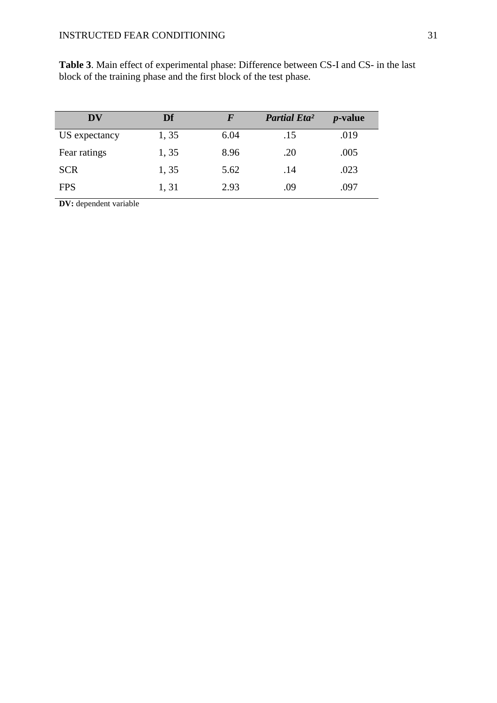| DV            | Df    |      | <b>Partial Eta<sup>2</sup></b> | <i>p</i> -value |
|---------------|-------|------|--------------------------------|-----------------|
| US expectancy | 1, 35 | 6.04 | .15                            | .019            |
| Fear ratings  | 1,35  | 8.96 | .20                            | .005            |
| <b>SCR</b>    | 1,35  | 5.62 | .14                            | .023            |
| <b>FPS</b>    | 1, 31 | 2.93 | .09                            | .097            |

**Table 3**. Main effect of experimental phase: Difference between CS-I and CS- in the last block of the training phase and the first block of the test phase.

**DV:** dependent variable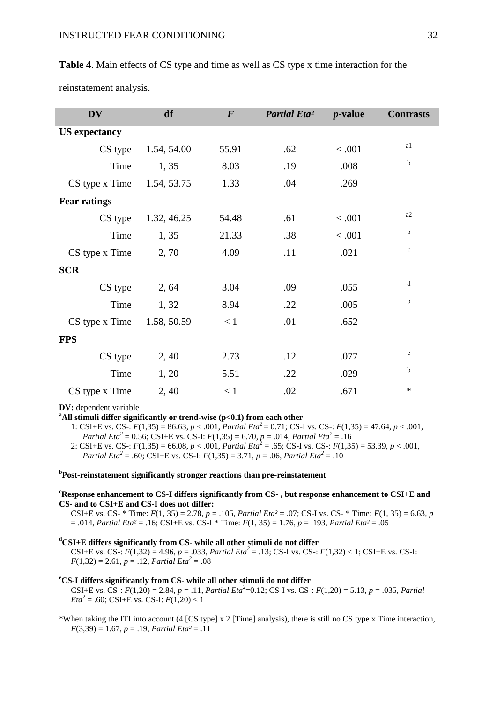| $p$ -value<br><b>Contrasts</b> |
|--------------------------------|
|                                |
| a1<br>< .001                   |
| b<br>.008                      |
| .269                           |
|                                |
| a2<br>< .001                   |
| b<br>< .001                    |
| $\mathbf c$<br>.021            |
|                                |
| d<br>.055                      |
| b<br>.005                      |
| .652                           |
|                                |
| e<br>.077                      |
| b<br>.029                      |
| $\ast$<br>.671                 |
|                                |

**Table 4**. Main effects of CS type and time as well as CS type x time interaction for the

reinstatement analysis.

**DV:** dependent variable

<sup>a</sup>All stimuli differ significantly or trend-wise (p<0.1) from each other

1: CSI+E vs. CS-:  $F(1,35) = 86.63$ ,  $p < .001$ , *Partial Eta*<sup>2</sup> = 0.71; CS-I vs. CS-:  $F(1,35) = 47.64$ ,  $p < .001$ , *Partial Eta*<sup>2</sup> = 0.56; CSI+E vs. CS-I:  $F(1,35) = 6.70$ ,  $p = .014$ , *Partial Eta*<sup>2</sup> = .16

2: CSI+E vs. CS-:  $F(1,35) = 66.08, p < .001,$  *Partial Eta*<sup>2</sup> = .65; CS-I vs. CS-:  $F(1,35) = 53.39, p < .001,$ *Partial Eta*<sup>2</sup> = .60; CSI+E vs. CS-I:  $F(1,35) = 3.71$ ,  $p = .06$ , *Partial Eta*<sup>2</sup> = .10

### **b Post-reinstatement significantly stronger reactions than pre-reinstatement**

#### **<sup>c</sup>Response enhancement to CS-I differs significantly from CS- , but response enhancement to CSI+E and CS- and to CSI+E and CS-I does not differ:**

CSI+E vs. CS-  $*$  Time:  $F(1, 35) = 2.78$ ,  $p = .105$ , *Partial Eta*<sup>2</sup> = .07; CS-I vs. CS- $*$  Time:  $F(1, 35) = 6.63$ , *p* = .014, *Partial Eta²* = .16; CSI+E vs. CS-I \* Time: *F*(1, 35) = 1.76, *p* = .193, *Partial Eta²* = .05

#### **<sup>d</sup>CSI+E differs significantly from CS- while all other stimuli do not differ**

CSI+E vs. CS-:  $F(1,32) = 4.96$ ,  $p = .033$ , *Partial Eta*<sup>2</sup> = .13; CS-I vs. CS-:  $F(1,32) < 1$ ; CSI+E vs. CS-I:  $F(1,32) = 2.61, p = .12, Partial Eta<sup>2</sup> = .08$ 

#### **<sup>e</sup>CS-I differs significantly from CS- while all other stimuli do not differ**

CSI+E vs. CS-:  $F(1,20) = 2.84$ ,  $p = .11$ , *Partial Eta*<sup>2</sup>=0.12; CS-I vs. CS-:  $F(1,20) = 5.13$ ,  $p = .035$ , *Partial*  $Eta^2 = .60$ ; CSI+E vs. CS-I:  $F(1,20) < 1$ 

\*When taking the ITI into account (4 [CS type] x 2 [Time] analysis), there is still no CS type x Time interaction, *F*(3,39) = 1.67, *p* = .19, *Partial Eta²* = .11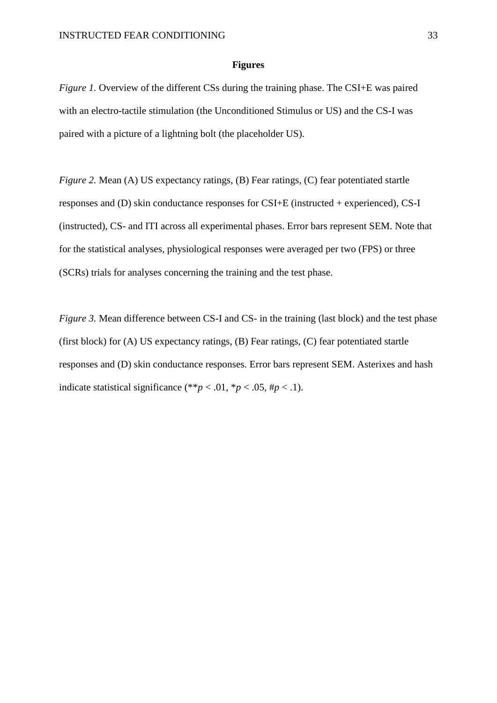#### **Figures**

*Figure 1.* Overview of the different CSs during the training phase. The CSI+E was paired with an electro-tactile stimulation (the Unconditioned Stimulus or US) and the CS-I was paired with a picture of a lightning bolt (the placeholder US).

*Figure 2.* Mean (A) US expectancy ratings, (B) Fear ratings, (C) fear potentiated startle responses and (D) skin conductance responses for CSI+E (instructed + experienced), CS-I (instructed), CS- and ITI across all experimental phases. Error bars represent SEM. Note that for the statistical analyses, physiological responses were averaged per two (FPS) or three (SCRs) trials for analyses concerning the training and the test phase.

*Figure 3.* Mean difference between CS-I and CS- in the training (last block) and the test phase (first block) for (A) US expectancy ratings, (B) Fear ratings, (C) fear potentiated startle responses and (D) skin conductance responses. Error bars represent SEM. Asterixes and hash indicate statistical significance (\*\**p* < .01, \**p* < .05, #*p* < .1).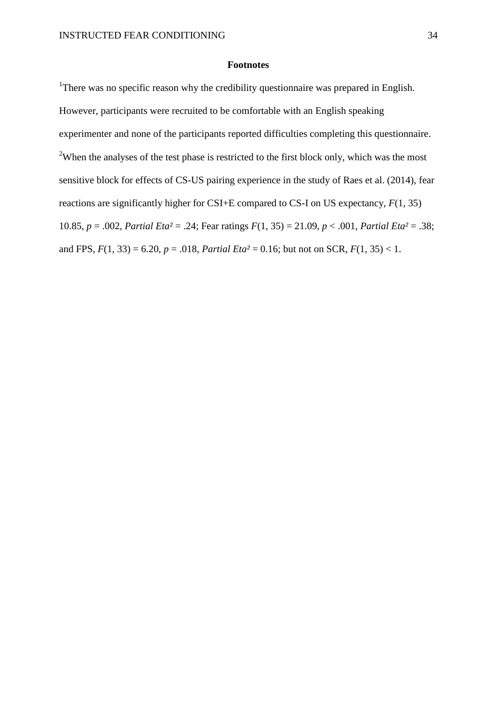### **Footnotes**

<sup>1</sup>There was no specific reason why the credibility questionnaire was prepared in English. However, participants were recruited to be comfortable with an English speaking experimenter and none of the participants reported difficulties completing this questionnaire. <sup>2</sup>When the analyses of the test phase is restricted to the first block only, which was the most sensitive block for effects of CS-US pairing experience in the study of Raes et al. (2014), fear reactions are significantly higher for CSI+E compared to CS-I on US expectancy, *F*(1, 35) 10.85, *p* = .002, *Partial Eta²* = .24; Fear ratings *F*(1, 35) = 21.09, *p* < .001, *Partial Eta²* = .38; and FPS,  $F(1, 33) = 6.20$ ,  $p = .018$ , *Partial Eta*<sup>2</sup> = 0.16; but not on SCR,  $F(1, 35) < 1$ .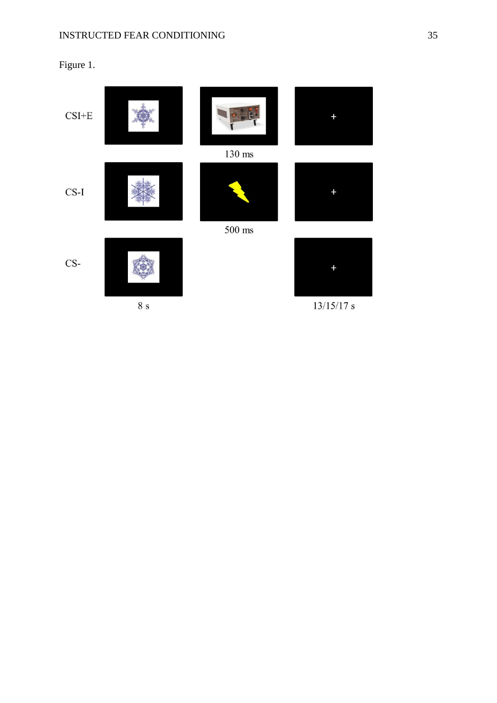# Figure 1.

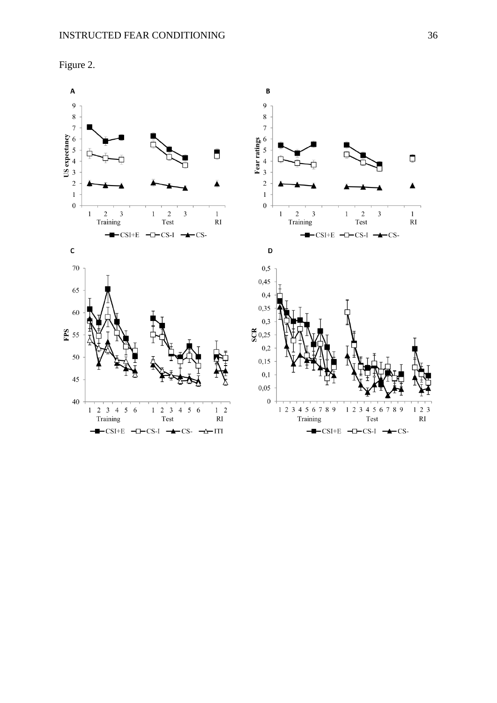